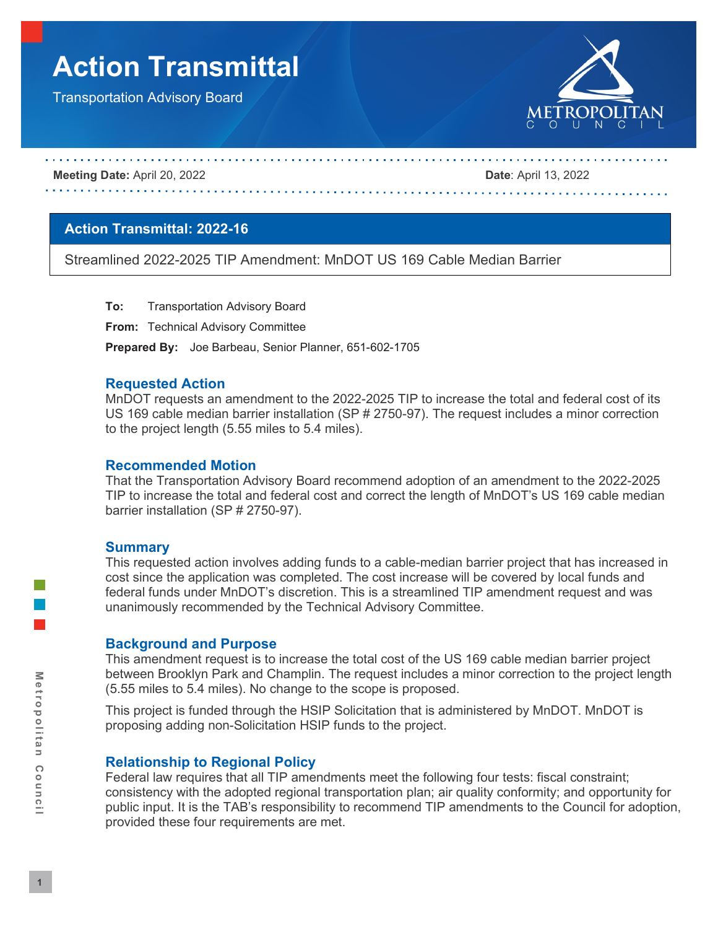# **Action Transmittal**

Transportation Advisory Board



#### **Meeting Date:** April 20, 2022 **Date**: April 13, 2022

## **Action Transmittal: 2022-16**

Streamlined 2022-2025 TIP Amendment: MnDOT US 169 Cable Median Barrier

**To:** Transportation Advisory Board

**From:** Technical Advisory Committee

**Prepared By:** Joe Barbeau, Senior Planner, 651-602-1705

## **Requested Action**

MnDOT requests an amendment to the 2022-2025 TIP to increase the total and federal cost of its US 169 cable median barrier installation (SP # 2750-97). The request includes a minor correction to the project length (5.55 miles to 5.4 miles).

#### **Recommended Motion**

That the Transportation Advisory Board recommend adoption of an amendment to the 2022-2025 TIP to increase the total and federal cost and correct the length of MnDOT's US 169 cable median barrier installation (SP # 2750-97).

#### **Summary**

This requested action involves adding funds to a cable-median barrier project that has increased in cost since the application was completed. The cost increase will be covered by local funds and federal funds under MnDOT's discretion. This is a streamlined TIP amendment request and was unanimously recommended by the Technical Advisory Committee.

## **Background and Purpose**

This amendment request is to increase the total cost of the US 169 cable median barrier project between Brooklyn Park and Champlin. The request includes a minor correction to the project length (5.55 miles to 5.4 miles). No change to the scope is proposed.

This project is funded through the HSIP Solicitation that is administered by MnDOT. MnDOT is proposing adding non-Solicitation HSIP funds to the project.

## **Relationship to Regional Policy**

Federal law requires that all TIP amendments meet the following four tests: fiscal constraint; consistency with the adopted regional transportation plan; air quality conformity; and opportunity for public input. It is the TAB's responsibility to recommend TIP amendments to the Council for adoption, provided these four requirements are met.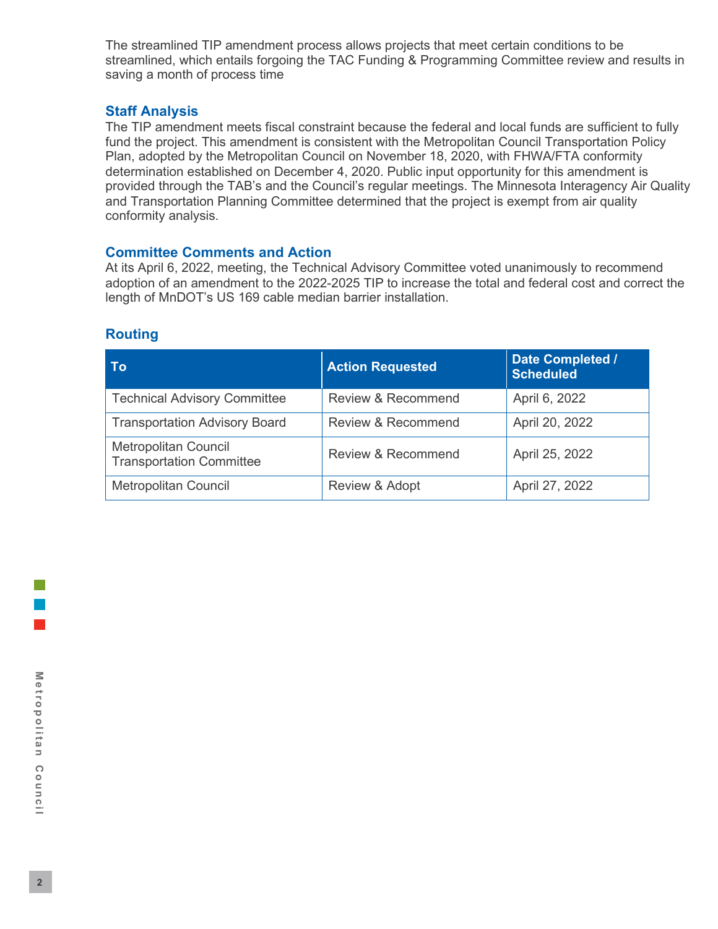The streamlined TIP amendment process allows projects that meet certain conditions to be streamlined, which entails forgoing the TAC Funding & Programming Committee review and results in saving a month of process time

## **Staff Analysis**

The TIP amendment meets fiscal constraint because the federal and local funds are sufficient to fully fund the project. This amendment is consistent with the Metropolitan Council Transportation Policy Plan, adopted by the Metropolitan Council on November 18, 2020, with FHWA/FTA conformity determination established on December 4, 2020. Public input opportunity for this amendment is provided through the TAB's and the Council's regular meetings. The Minnesota Interagency Air Quality and Transportation Planning Committee determined that the project is exempt from air quality conformity analysis.

## **Committee Comments and Action**

At its April 6, 2022, meeting, the Technical Advisory Committee voted unanimously to recommend adoption of an amendment to the 2022-2025 TIP to increase the total and federal cost and correct the length of MnDOT's US 169 cable median barrier installation.

| To                                                             | <b>Action Requested</b>       | Date Completed /<br><b>Scheduled</b> |  |
|----------------------------------------------------------------|-------------------------------|--------------------------------------|--|
| <b>Technical Advisory Committee</b>                            | <b>Review &amp; Recommend</b> | April 6, 2022                        |  |
| <b>Transportation Advisory Board</b>                           | <b>Review &amp; Recommend</b> | April 20, 2022                       |  |
| <b>Metropolitan Council</b><br><b>Transportation Committee</b> | <b>Review &amp; Recommend</b> | April 25, 2022                       |  |
| <b>Metropolitan Council</b>                                    | Review & Adopt                | April 27, 2022                       |  |

## **Routing**